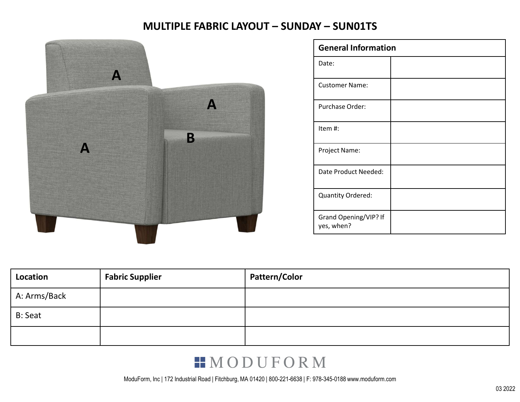

| <b>MULTIPLE FABRIC LAYOUT - SUNDAY - SUN01TS</b> |                            |  |
|--------------------------------------------------|----------------------------|--|
|                                                  | <b>General Information</b> |  |
|                                                  | Date:                      |  |
|                                                  | <b>Customer Name:</b>      |  |
|                                                  |                            |  |
|                                                  | Purchase Order:            |  |
| B                                                | Item#:                     |  |
|                                                  | Project Name:              |  |
|                                                  | Date Product Needed:       |  |
|                                                  | <b>Quantity Ordered:</b>   |  |

| Location       | <b>Fabric Supplier</b> | Pattern/Color |
|----------------|------------------------|---------------|
| A: Arms/Back   |                        |               |
| <b>B: Seat</b> |                        |               |
|                |                        |               |

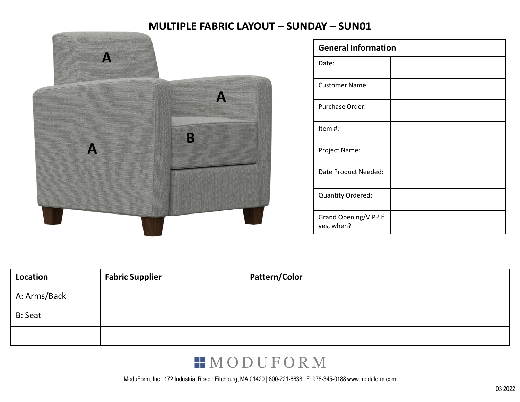

| MULTIPLE FABRIC LAYOUT - SUNDAY - SUN01 |
|-----------------------------------------|
| <b>General Information</b>              |
| Date:                                   |
| <b>Customer Name:</b>                   |
| Purchase Order:                         |
|                                         |
| Item#:                                  |
| Project Name:                           |
| Date Product Needed:                    |
| Quantity Ordered:                       |

| Location       | <b>Fabric Supplier</b> | Pattern/Color |
|----------------|------------------------|---------------|
| A: Arms/Back   |                        |               |
| <b>B: Seat</b> |                        |               |
|                |                        |               |

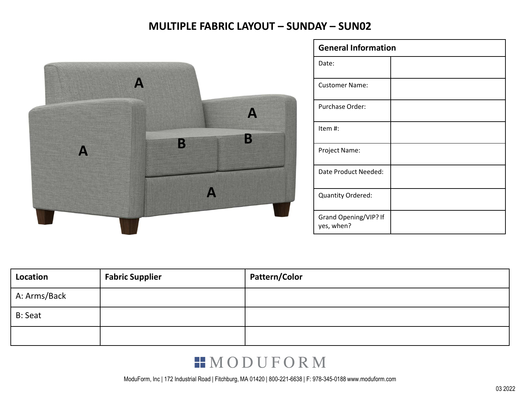

|                   | <b>MULTIPLE FABRIC LAYOUT - SUNDAY - SUN02</b> |
|-------------------|------------------------------------------------|
|                   | <b>General Information</b>                     |
|                   | Date:                                          |
|                   | <b>Customer Name:</b>                          |
|                   | Purchase Order:                                |
|                   |                                                |
|                   | Item#:                                         |
|                   | Project Name:                                  |
| $\mathbf{A}$<br>B | Date Product Needed:                           |
|                   | Quantity Ordered:                              |

| Location       | <b>Fabric Supplier</b> | Pattern/Color |
|----------------|------------------------|---------------|
| A: Arms/Back   |                        |               |
| <b>B: Seat</b> |                        |               |
|                |                        |               |